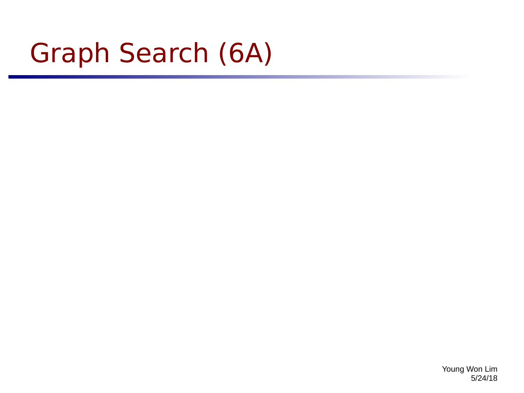# Graph Search (6A)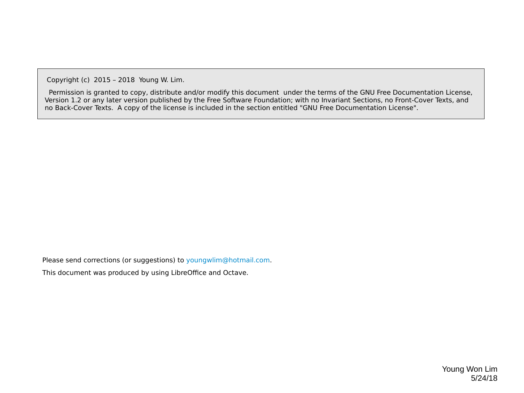Copyright (c) 2015 – 2018 Young W. Lim.

 Permission is granted to copy, distribute and/or modify this document under the terms of the GNU Free Documentation License, Version 1.2 or any later version published by the Free Software Foundation; with no Invariant Sections, no Front-Cover Texts, and no Back-Cover Texts. A copy of the license is included in the section entitled "GNU Free Documentation License".

Please send corrections (or suggestions) to [youngwlim@hotmail.com](mailto:youngwlim@hotmail.com).

This document was produced by using LibreOffice and Octave.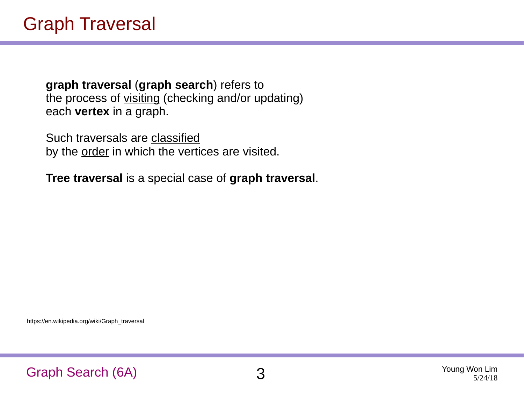**graph traversal** (**graph search**) refers to the process of visiting (checking and/or updating) each **vertex** in a graph.

Such traversals are classified by the <u>order</u> in which the vertices are visited.

**Tree traversal** is a special case of **graph traversal**.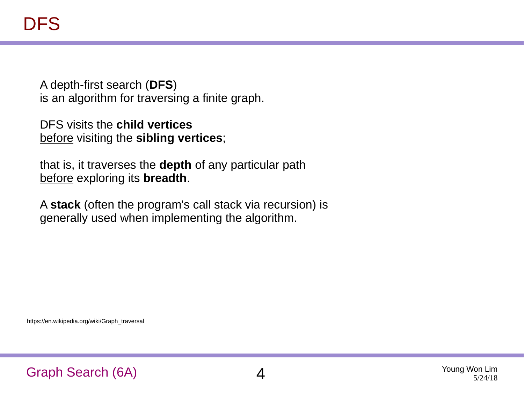A depth-first search (**DFS**) is an algorithm for traversing a finite graph.

DFS visits the **child vertices** before visiting the **sibling vertices**;

that is, it traverses the **depth** of any particular path before exploring its **breadth**.

A **stack** (often the program's call stack via recursion) is generally used when implementing the algorithm.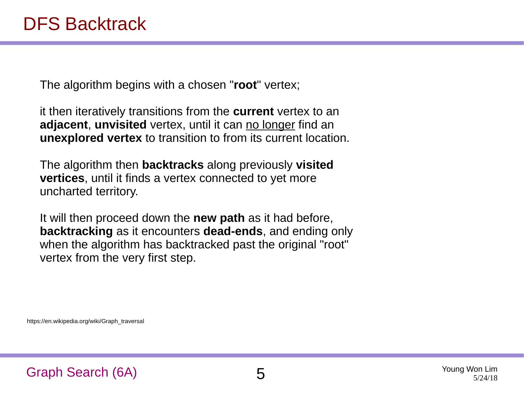The algorithm begins with a chosen "**root**" vertex;

it then iteratively transitions from the **current** vertex to an **adjacent, unvisited** vertex, until it can no longer find an **unexplored vertex** to transition to from its current location.

The algorithm then **backtracks** along previously **visited vertices**, until it finds a vertex connected to yet more uncharted territory.

It will then proceed down the **new path** as it had before, **backtracking** as it encounters **dead-ends**, and ending only when the algorithm has backtracked past the original "root" vertex from the very first step.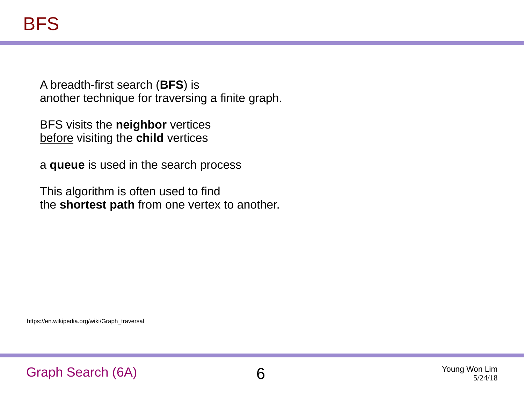A breadth-first search (**BFS**) is another technique for traversing a finite graph.

BFS visits the **neighbor** vertices before visiting the **child** vertices

a **queue** is used in the search process

This algorithm is often used to find the **shortest path** from one vertex to another.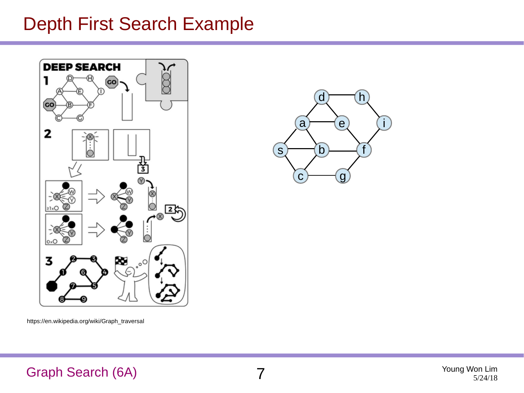#### Depth First Search Example



https://en.wikipedia.org/wiki/Graph\_traversal



#### Graph Search (6A) 7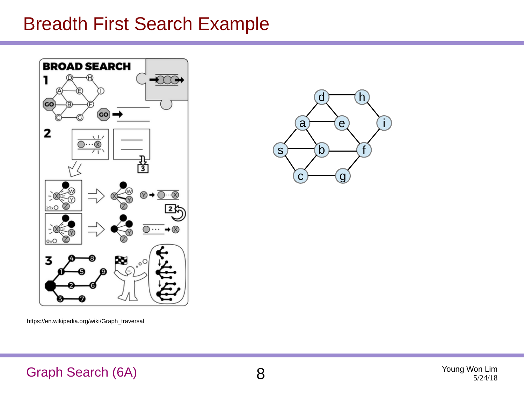#### Breadth First Search Example



https://en.wikipedia.org/wiki/Graph\_traversal



#### Graph Search (6A) 8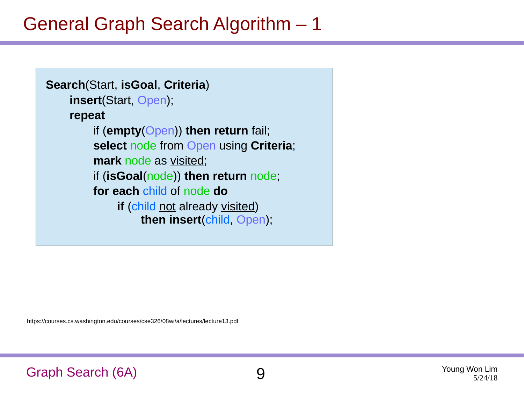#### General Graph Search Algorithm – 1

```
Search(Start, isGoal, Criteria)
    insert(Start, Open);
    repeat
         if (empty(Open)) then return fail;
         select node from Open using Criteria;
         mark node as visited;
         if (isGoal(node)) then return node;
         for each child of node do
             if (child not already visited)
                  then insert(child, Open);
```
https://courses.cs.washington.edu/courses/cse326/08wi/a/lectures/lecture13.pdf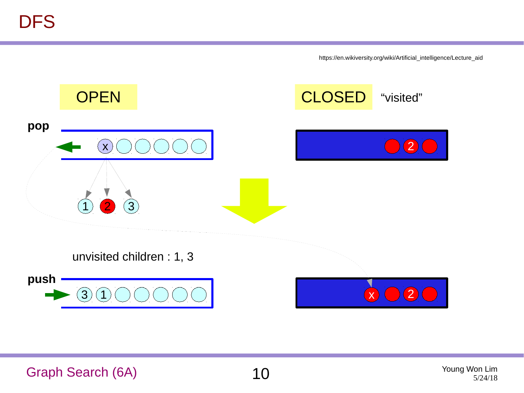https://en.wikiversity.org/wiki/Artificial\_intelligence/Lecture\_aid

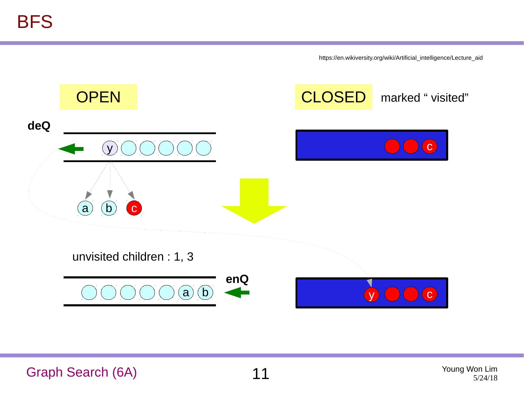https://en.wikiversity.org/wiki/Artificial\_intelligence/Lecture\_aid



Graph Search (6A) 11 Young Won Lim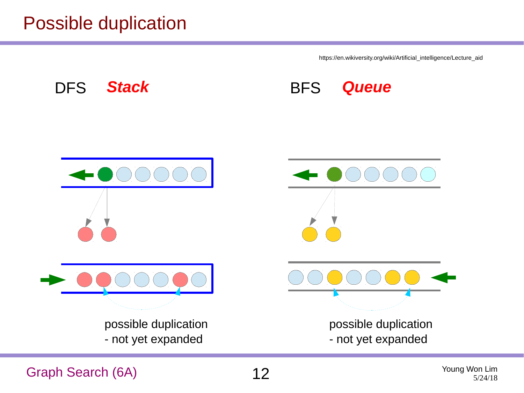#### Possible duplication

https://en.wikiversity.org/wiki/Artificial\_intelligence/Lecture\_aid



Graph Search (6A)  $12$  Young Won Lim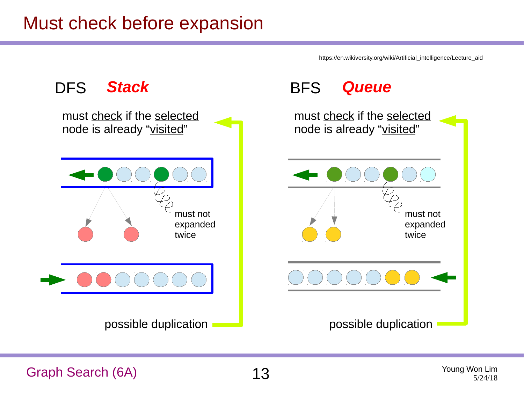#### Must check before expansion

https://en.wikiversity.org/wiki/Artificial\_intelligence/Lecture\_aid



Graph Search (6A)  $13$  Young Won Lim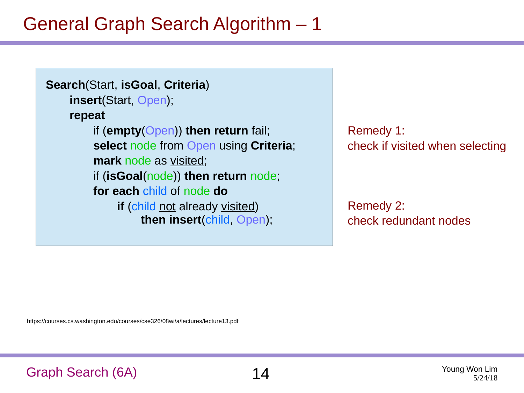### General Graph Search Algorithm – 1

```
Search(Start, isGoal, Criteria)
    insert(Start, Open);
    repeat
         if (empty(Open)) then return fail;
         select node from Open using Criteria;
         mark node as visited;
         if (isGoal(node)) then return node;
         for each child of node do
             if (child not already visited)
                  then insert(child, Open);
```
Remedy 1: check if visited when selecting

Remedy 2: check redundant nodes

https://courses.cs.washington.edu/courses/cse326/08wi/a/lectures/lecture13.pdf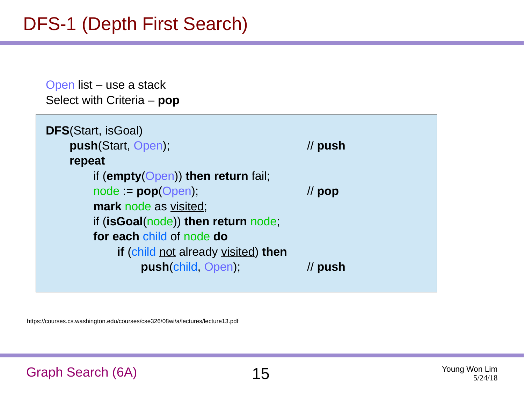### DFS-1 (Depth First Search)

Open list – use a stack Select with Criteria – **pop**

| <b>DFS</b> (Start, isGoal)            |                     |
|---------------------------------------|---------------------|
| push(Start, Open);                    | $\prime\prime$ push |
| repeat                                |                     |
| if (empty( $Open$ ) then return fail; |                     |
| $node := pop(open)$                   | $\prime\prime$ pop  |
| mark node as visited;                 |                     |
| if (isGoal(node)) then return node;   |                     |
| for each child of node do             |                     |
| if (child not already visited) then   |                     |
| push(child, Open);                    | push                |
|                                       |                     |

https://courses.cs.washington.edu/courses/cse326/08wi/a/lectures/lecture13.pdf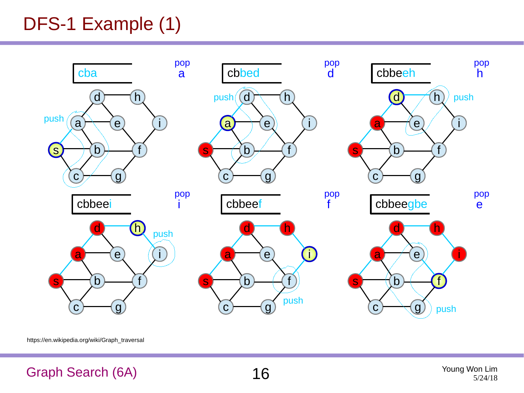### DFS-1 Example (1)



https://en.wikipedia.org/wiki/Graph\_traversal

#### Graph Search (6A)  $16$  Young Won Lim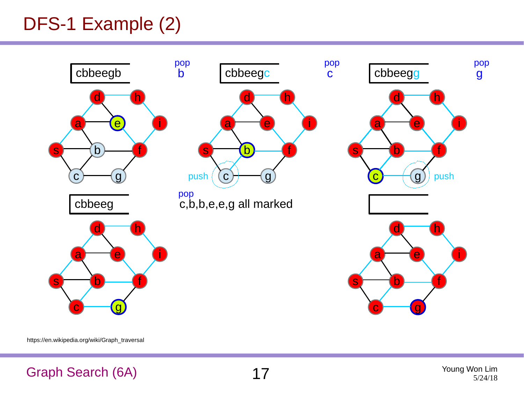### DFS-1 Example (2)



https://en.wikipedia.org/wiki/Graph\_traversal

#### Graph Search (6A) 17 Young Won Lim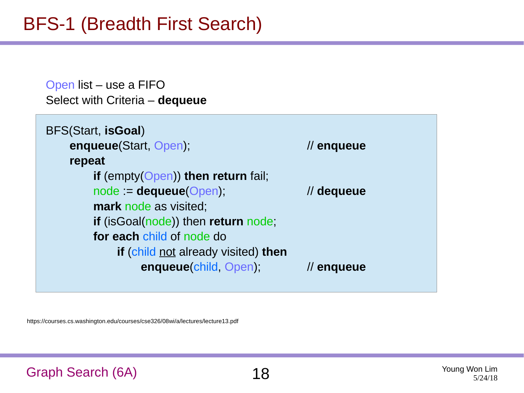### BFS-1 (Breadth First Search)

Open list – use a FIFO Select with Criteria – **dequeue**

| BFS(Start, isGoal)                         |                        |
|--------------------------------------------|------------------------|
| enqueue(Start, Open);                      | $\prime\prime$ enqueue |
| repeat                                     |                        |
| if (empty( $Open$ )) then return fail;     |                        |
| $node := dequeue(Open);$                   | // dequeue             |
| mark node as visited;                      |                        |
| <b>if</b> (isGoal(node)) then return node; |                        |
| for each child of node do                  |                        |
| <b>if</b> (child not already visited) then |                        |
| enqueue(child, Open);                      | $\prime\prime$ enqueue |
|                                            |                        |

https://courses.cs.washington.edu/courses/cse326/08wi/a/lectures/lecture13.pdf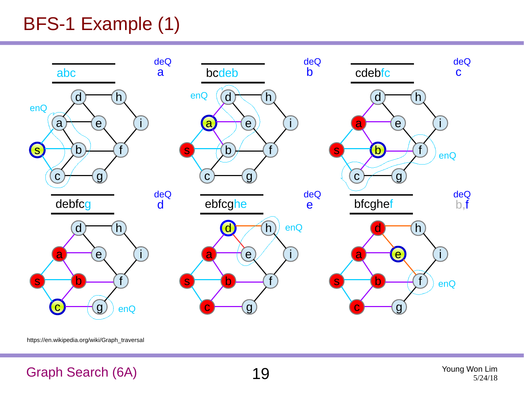### BFS-1 Example (1)



https://en.wikipedia.org/wiki/Graph\_traversal

#### Graph Search (6A) 19 Young Won Lim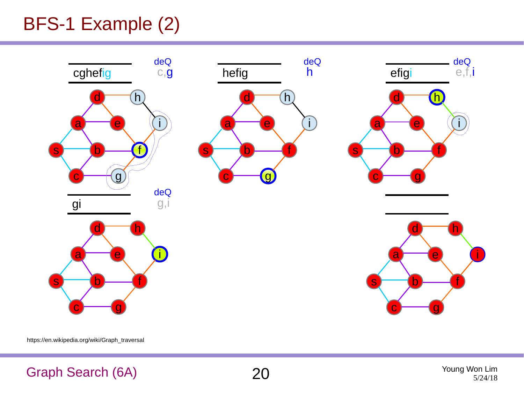### BFS-1 Example (2)



https://en.wikipedia.org/wiki/Graph\_traversal

#### Graph Search (6A) 20 Young Won Lim



5/24/18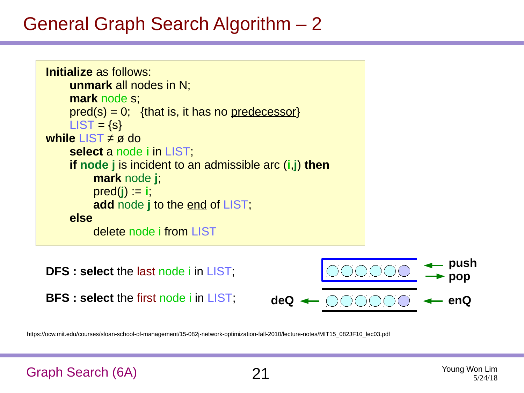#### General Graph Search Algorithm – 2

```
Initialize as follows: 
    unmark all nodes in N;
    mark node s;
    pred(s) = 0; {that is, it has no predecessor}
    LIST = {s}while LIST ≠ ø do
    select a node i in LIST;
    if node j is incident to an admissible arc (i,j) then
         mark node j;
         pred(j) := i;
         add node j to the end of LIST;
    else
         delete node i from LIST
```
**DFS : select** the last node i in LIST; **BFS : select** the first node i in LIST; **deQ enQ**

https://ocw.mit.edu/courses/sloan-school-of-management/15-082j-network-optimization-fall-2010/lecture-notes/MIT15\_082JF10\_lec03.pdf

```
Graph Search (6A) 21 Young Won Lim
```
**push**

**pop**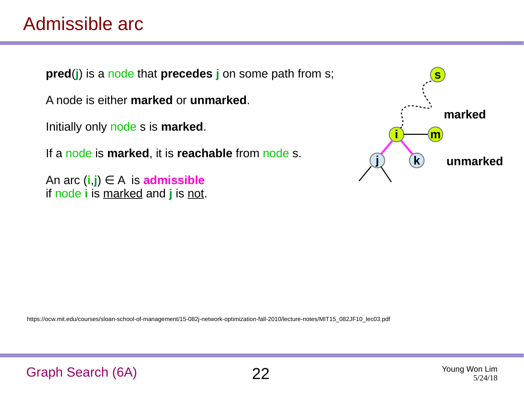#### Admissible arc

**pred**(**j**) is a node that **precedes j** on some path from s;

A node is either **marked** or **unmarked**.

Initially only node s is **marked**.

If a node is **marked**, it is **reachable** from node s.

An arc  $(i,j) \in A$  is **admissible** if node **i** is marked and **j** is not.

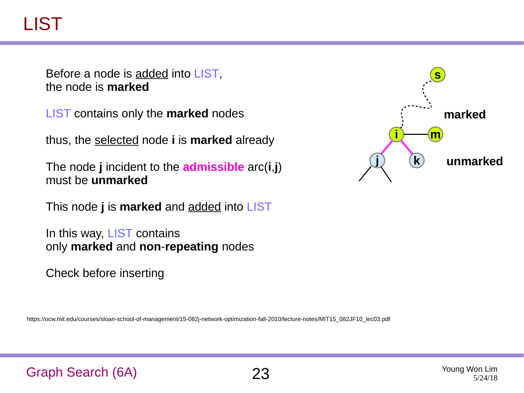## LIST

Before a node is added into LIST, the node is **marked**

LIST contains only the **marked** nodes

thus, the selected node **i** is **marked** already

The node **j** incident to the **admissible** arc(**i**,**j**) must be **unmarked**

This node **j** is **marked** and added into LIST

In this way, LIST contains only **marked** and **non**-**repeating** nodes

Check before inserting

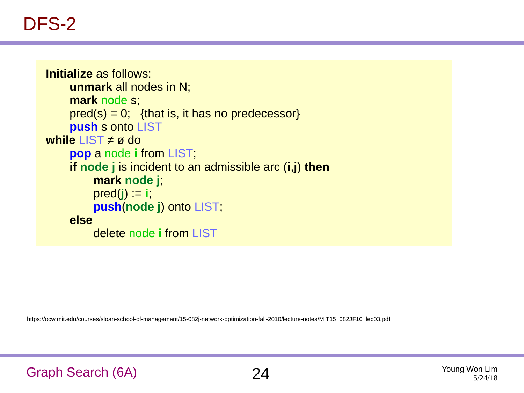#### DFS-2

```
Initialize as follows: 
    unmark all nodes in N;
    mark node s;
    pred(s) = 0; {that is, it has no predecessor}
    push s onto LIST
while LIST ≠ ø do
    pop a node i from LIST;
    if node j is incident to an admissible arc (i,j) then
         mark node j;
         pred(j) := i;push(node j) onto LIST;
    else
         delete node i from LIST
```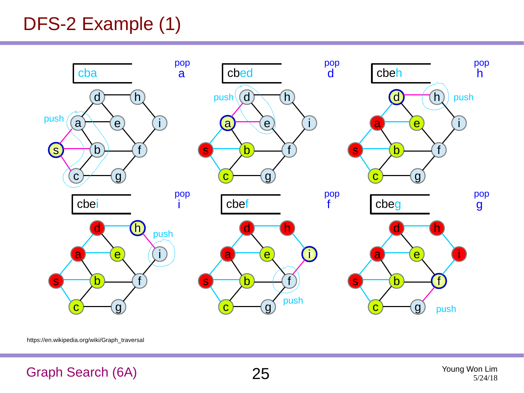### DFS-2 Example (1)



https://en.wikipedia.org/wiki/Graph\_traversal

#### Graph Search (6A) 25 Young Won Lim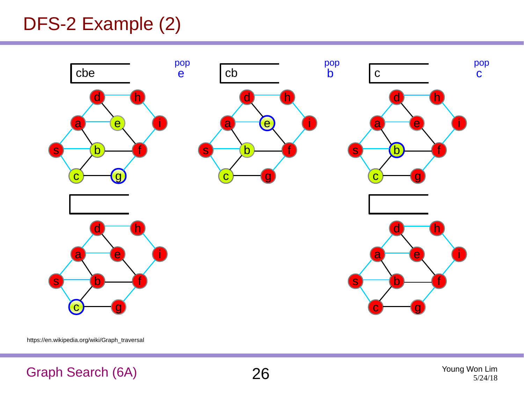### DFS-2 Example (2)



https://en.wikipedia.org/wiki/Graph\_traversal

#### Graph Search (6A) 26 Young Won Lim



5/24/18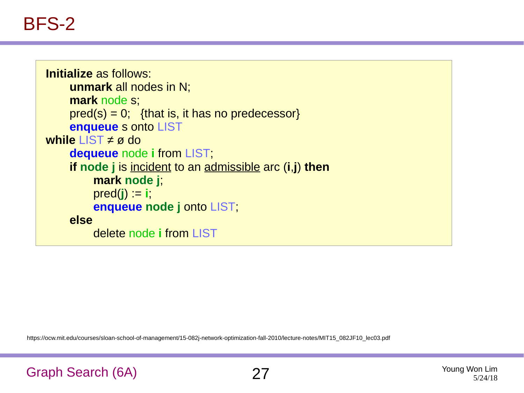#### BFS-2

```
Initialize as follows: 
    unmark all nodes in N;
    mark node s;
    pred(s) = 0; {that is, it has no predecessor}
    enqueue s onto LIST
while LIST ≠ ø do
    dequeue node i from LIST;
    if node j is incident to an admissible arc (i,j) then
         mark node j;
         pred(j) := i;enqueue node j onto LIST;
    else
         delete node i from LIST
```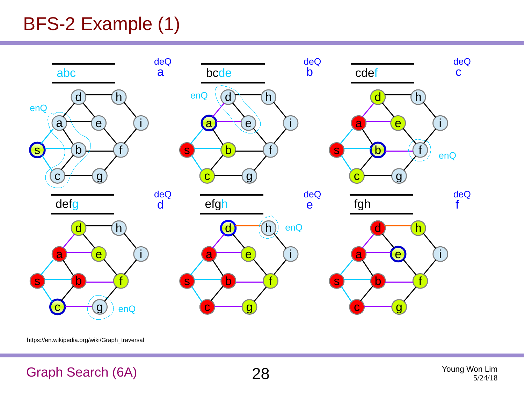### BFS-2 Example (1)



https://en.wikipedia.org/wiki/Graph\_traversal

#### Graph Search (6A) 28 Young Won Lim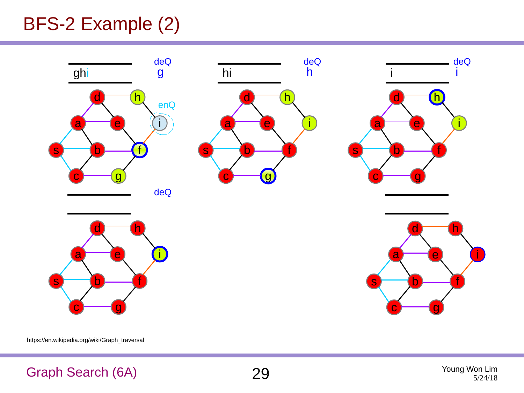### BFS-2 Example (2)



https://en.wikipedia.org/wiki/Graph\_traversal

#### Graph Search (6A) 29 Young Won Lim



5/24/18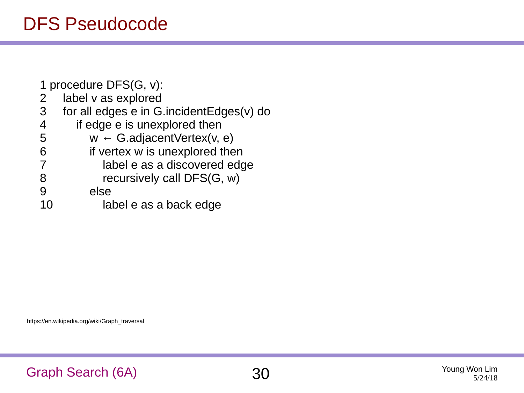#### DFS Pseudocode

1 procedure DFS(G, v):

- 2 label v as explored
- 3 for all edges e in G.incidentEdges(v) do
- 4 if edge e is unexplored then<br>5  $w \leftarrow G$  adjacent Vertex (v,
- $w \leftarrow G$ .adjacentVertex(v, e)
- 6 if vertex w is unexplored then<br>
7 label e as a discovered edc
	- label e as a discovered edge
- 8 recursively call DFS(G, w)<br>9 else
- else
- 10 label e as a back edge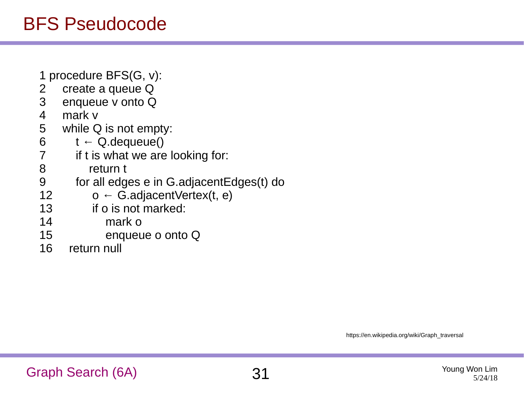### BFS Pseudocode

- 1 procedure BFS(G, v):
- 2 create a queue Q
- 3 enqueue v onto Q
- 4 mark v<br>5 while C
- while Q is not empty:
- 6  $t \leftarrow Q$ . dequeue()<br>7 if t is what we are
- if t is what we are looking for:
- 8 return t
- 9 for all edges e in G.adjacentEdges(t) do
- 12  $o \leftarrow G$ .adjacentVertex(t, e)
- 13 if o is not marked:
- 14 mark o
- 15 enqueue o onto Q
- 16 return null